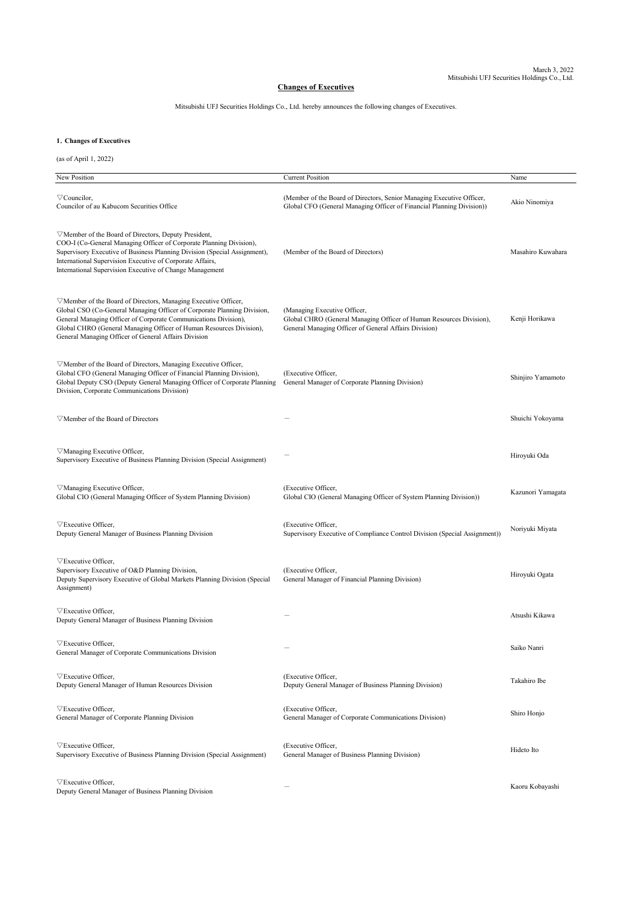## **Changes of Executives**

Mitsubishi UFJ Securities Holdings Co., Ltd. hereby announces the following changes of Executives.

## **1**.**Changes of Executives**

(as of April 1, 2022)

| New Position                                                                                                                                                                                                                                                                                                                                        | <b>Current Position</b>                                                                                                                                      | Name              |
|-----------------------------------------------------------------------------------------------------------------------------------------------------------------------------------------------------------------------------------------------------------------------------------------------------------------------------------------------------|--------------------------------------------------------------------------------------------------------------------------------------------------------------|-------------------|
|                                                                                                                                                                                                                                                                                                                                                     |                                                                                                                                                              |                   |
| $\triangledown$ Councilor,<br>Councilor of au Kabucom Securities Office                                                                                                                                                                                                                                                                             | (Member of the Board of Directors, Senior Managing Executive Officer,<br>Global CFO (General Managing Officer of Financial Planning Division))               | Akio Ninomiya     |
| $\triangledown$ Member of the Board of Directors, Deputy President,<br>COO-I (Co-General Managing Officer of Corporate Planning Division),<br>Supervisory Executive of Business Planning Division (Special Assignment),<br>International Supervision Executive of Corporate Affairs,<br>International Supervision Executive of Change Management    | (Member of the Board of Directors)                                                                                                                           | Masahiro Kuwahara |
| $\nabla$ Member of the Board of Directors, Managing Executive Officer,<br>Global CSO (Co-General Managing Officer of Corporate Planning Division,<br>General Managing Officer of Corporate Communications Division),<br>Global CHRO (General Managing Officer of Human Resources Division),<br>General Managing Officer of General Affairs Division | (Managing Executive Officer,<br>Global CHRO (General Managing Officer of Human Resources Division),<br>General Managing Officer of General Affairs Division) | Kenji Horikawa    |
| $\triangledown$ Member of the Board of Directors, Managing Executive Officer,<br>Global CFO (General Managing Officer of Financial Planning Division),<br>Global Deputy CSO (Deputy General Managing Officer of Corporate Planning<br>Division, Corporate Communications Division)                                                                  | (Executive Officer,<br>General Manager of Corporate Planning Division)                                                                                       | Shinjiro Yamamoto |
| $\triangledown$ Member of the Board of Directors                                                                                                                                                                                                                                                                                                    |                                                                                                                                                              | Shuichi Yokoyama  |
| $\nabla$ Managing Executive Officer,<br>Supervisory Executive of Business Planning Division (Special Assignment)                                                                                                                                                                                                                                    |                                                                                                                                                              | Hiroyuki Oda      |
| $\triangledown$ Managing Executive Officer,<br>Global CIO (General Managing Officer of System Planning Division)                                                                                                                                                                                                                                    | (Executive Officer,<br>Global CIO (General Managing Officer of System Planning Division))                                                                    | Kazunori Yamagata |
| $\triangledown$ Executive Officer,<br>Deputy General Manager of Business Planning Division                                                                                                                                                                                                                                                          | (Executive Officer,<br>Supervisory Executive of Compliance Control Division (Special Assignment))                                                            | Noriyuki Miyata   |
| $\triangledown$ Executive Officer,<br>Supervisory Executive of O&D Planning Division,<br>Deputy Supervisory Executive of Global Markets Planning Division (Special<br>Assignment)                                                                                                                                                                   | (Executive Officer,<br>General Manager of Financial Planning Division)                                                                                       | Hiroyuki Ogata    |
| $\nabla$ Executive Officer,<br>Deputy General Manager of Business Planning Division                                                                                                                                                                                                                                                                 |                                                                                                                                                              | Atsushi Kikawa    |
| $\triangledown$ Executive Officer,<br>General Manager of Corporate Communications Division                                                                                                                                                                                                                                                          |                                                                                                                                                              | Saiko Nanri       |
| $\triangledown$ Executive Officer,<br>Deputy General Manager of Human Resources Division                                                                                                                                                                                                                                                            | (Executive Officer,<br>Deputy General Manager of Business Planning Division)                                                                                 | Takahiro Ibe      |
| $\nabla$ Executive Officer,<br>General Manager of Corporate Planning Division                                                                                                                                                                                                                                                                       | (Executive Officer,<br>General Manager of Corporate Communications Division)                                                                                 | Shiro Honjo       |
| $\triangledown$ Executive Officer,<br>Supervisory Executive of Business Planning Division (Special Assignment)                                                                                                                                                                                                                                      | (Executive Officer,<br>General Manager of Business Planning Division)                                                                                        | Hideto Ito        |
| $\triangledown$ Executive Officer,<br>Deputy General Manager of Business Planning Division                                                                                                                                                                                                                                                          |                                                                                                                                                              | Kaoru Kobayashi   |